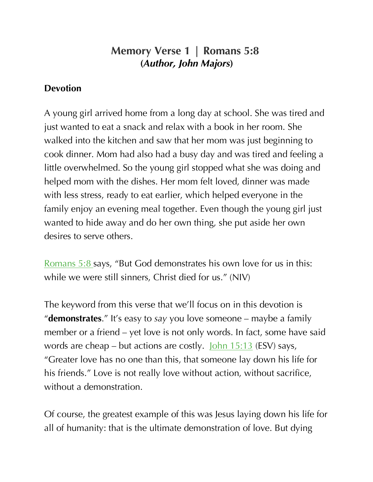## **Memory Verse 1 | Romans 5:8 (***Author, John Majors***)**

## **Devotion**

A young girl arrived home from a long day at school. She was tired and just wanted to eat a snack and relax with a book in her room. She walked into the kitchen and saw that her mom was just beginning to cook dinner. Mom had also had a busy day and was tired and feeling a little overwhelmed. So the young girl stopped what she was doing and helped mom with the dishes. Her mom felt loved, dinner was made with less stress, ready to eat earlier, which helped everyone in the family enjoy an evening meal together. Even though the young girl just wanted to hide away and do her own thing, she put aside her own desires to serve others.

Romans 5:8 says, "But God demonstrates his own love for us in this: while we were still sinners, Christ died for us." (NIV)

The keyword from this verse that we'll focus on in this devotion is "**demonstrates**." It's easy to *say* you love someone – maybe a family member or a friend – yet love is not only words. In fact, some have said words are cheap – but actions are costly. John 15:13 (ESV) says, "Greater love has no one than this, that someone lay down his life for his friends." Love is not really love without action, without sacrifice, without a demonstration.

Of course, the greatest example of this was Jesus laying down his life for all of humanity: that is the ultimate demonstration of love. But dying